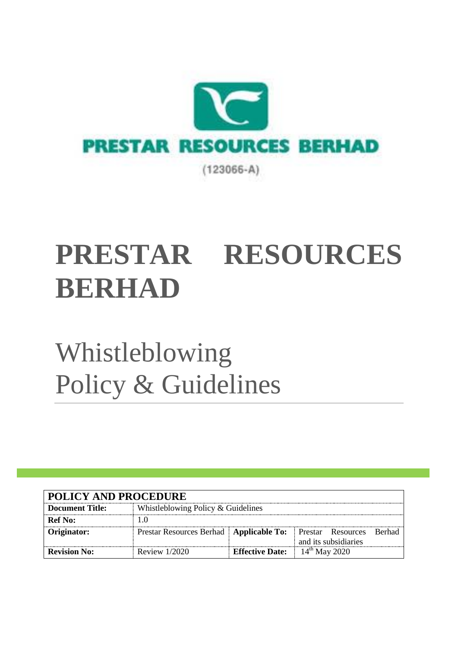

# **PRESTAR RESOURCES BERHAD**

Whistleblowing Policy & Guidelines

| <b>POLICY AND PROCEDURE</b> |                                                                      |                                    |                      |  |  |
|-----------------------------|----------------------------------------------------------------------|------------------------------------|----------------------|--|--|
| <b>Document Title:</b>      |                                                                      | Whistleblowing Policy & Guidelines |                      |  |  |
| <b>Ref No:</b>              |                                                                      |                                    |                      |  |  |
| Originator:                 | Prestar Resources Berhad   Applicable To:   Prestar Resources Berhad |                                    | and its subsidiaries |  |  |
| <b>Revision No:</b>         | Review $1/2020$                                                      | <b>Effective Date:</b>             | $14^{th}$ May 2020   |  |  |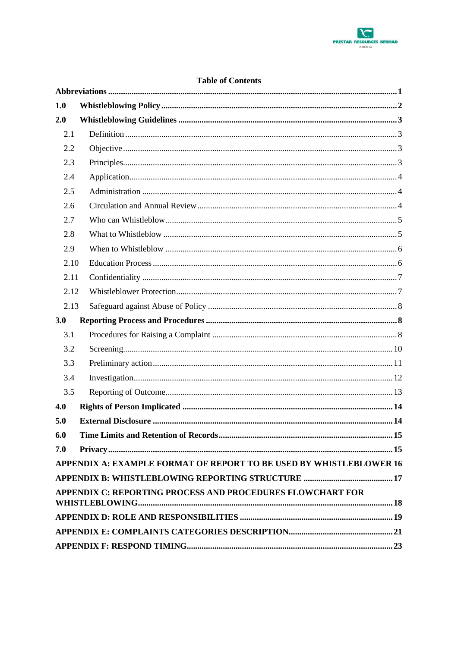

| <b>Table of Contents</b> |  |  |
|--------------------------|--|--|
|--------------------------|--|--|

| 1.0                                                                 |  |  |  |
|---------------------------------------------------------------------|--|--|--|
| 2.0                                                                 |  |  |  |
| 2.1                                                                 |  |  |  |
| 2.2                                                                 |  |  |  |
| 2.3                                                                 |  |  |  |
| 2.4                                                                 |  |  |  |
| 2.5                                                                 |  |  |  |
| 2.6                                                                 |  |  |  |
| 2.7                                                                 |  |  |  |
| 2.8                                                                 |  |  |  |
| 2.9                                                                 |  |  |  |
| 2.10                                                                |  |  |  |
| 2.11                                                                |  |  |  |
| 2.12                                                                |  |  |  |
| 2.13                                                                |  |  |  |
| 3.0                                                                 |  |  |  |
| 3.1                                                                 |  |  |  |
| 3.2                                                                 |  |  |  |
| 3.3                                                                 |  |  |  |
| 3.4                                                                 |  |  |  |
| 3.5                                                                 |  |  |  |
| 4.0                                                                 |  |  |  |
| 5.0                                                                 |  |  |  |
| 6.0                                                                 |  |  |  |
| 7.0                                                                 |  |  |  |
| APPENDIX A: EXAMPLE FORMAT OF REPORT TO BE USED BY WHISTLEBLOWER 16 |  |  |  |
|                                                                     |  |  |  |
| APPENDIX C: REPORTING PROCESS AND PROCEDURES FLOWCHART FOR          |  |  |  |
|                                                                     |  |  |  |
|                                                                     |  |  |  |
|                                                                     |  |  |  |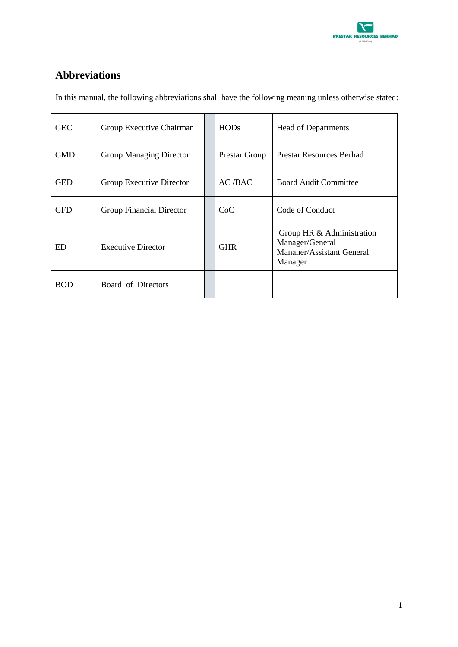

## <span id="page-2-0"></span>**Abbreviations**

| <b>GEC</b> | Group Executive Chairman        |  | <b>HODs</b>   | <b>Head of Departments</b>                                                                  |
|------------|---------------------------------|--|---------------|---------------------------------------------------------------------------------------------|
| <b>GMD</b> | Group Managing Director         |  | Prestar Group | <b>Prestar Resources Berhad</b>                                                             |
| <b>GED</b> | Group Executive Director        |  | AC/BAC        | <b>Board Audit Committee</b>                                                                |
| <b>GFD</b> | <b>Group Financial Director</b> |  | CoC           | Code of Conduct                                                                             |
| ED         | <b>Executive Director</b>       |  | <b>GHR</b>    | Group HR & Administration<br>Manager/General<br><b>Manaher/Assistant General</b><br>Manager |
| <b>BOD</b> | Board of Directors              |  |               |                                                                                             |

In this manual, the following abbreviations shall have the following meaning unless otherwise stated: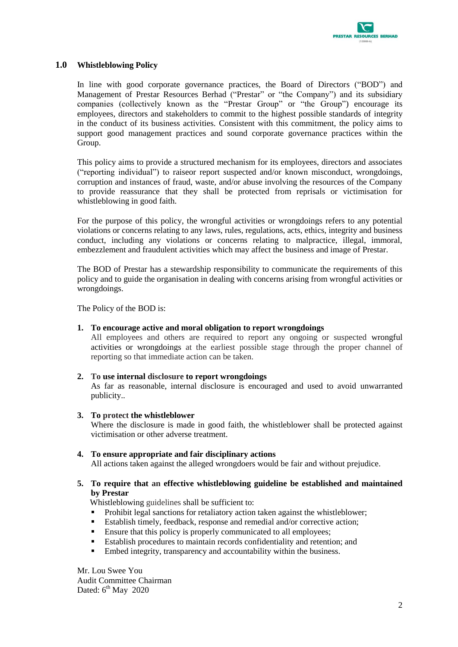

#### <span id="page-3-0"></span>**1.0 Whistleblowing Policy**

In line with good corporate governance practices, the Board of Directors ("BOD") and Management of Prestar Resources Berhad ("Prestar" or "the Company") and its subsidiary companies (collectively known as the "Prestar Group" or "the Group") encourage its employees, directors and stakeholders to commit to the highest possible standards of integrity in the conduct of its business activities. Consistent with this commitment, the policy aims to support good management practices and sound corporate governance practices within the Group.

This policy aims to provide a structured mechanism for its employees, directors and associates ("reporting individual") to raiseor report suspected and/or known misconduct, wrongdoings, corruption and instances of fraud, waste, and/or abuse involving the resources of the Company to provide reassurance that they shall be protected from reprisals or victimisation for whistleblowing in good faith.

For the purpose of this policy, the wrongful activities or wrongdoings refers to any potential violations or concerns relating to any laws, rules, regulations, acts, ethics, integrity and business conduct, including any violations or concerns relating to malpractice, illegal, immoral, embezzlement and fraudulent activities which may affect the business and image of Prestar.

The BOD of Prestar has a stewardship responsibility to communicate the requirements of this policy and to guide the organisation in dealing with concerns arising from wrongful activities or wrongdoings.

The Policy of the BOD is:

#### **1. To encourage active and moral obligation to report wrongdoings**

All employees and others are required to report any ongoing or suspected wrongful activities or wrongdoings at the earliest possible stage through the proper channel of reporting so that immediate action can be taken.

#### **2. To use internal disclosure to report wrongdoings**

As far as reasonable, internal disclosure is encouraged and used to avoid unwarranted publicity..

#### **3. To protect the whistleblower**

Where the disclosure is made in good faith, the whistleblower shall be protected against victimisation or other adverse treatment.

#### **4. To ensure appropriate and fair disciplinary actions**

All actions taken against the alleged wrongdoers would be fair and without prejudice.

#### **5. To require that an effective whistleblowing guideline be established and maintained by Prestar**

Whistleblowing guidelines shall be sufficient to:

- Prohibit legal sanctions for retaliatory action taken against the whistleblower;
- Establish timely, feedback, response and remedial and/or corrective action;
- **Ensure that this policy is properly communicated to all employees;**
- Establish procedures to maintain records confidentiality and retention; and
- Embed integrity, transparency and accountability within the business.

Mr. Lou Swee You Audit Committee Chairman Dated: 6<sup>th</sup> May 2020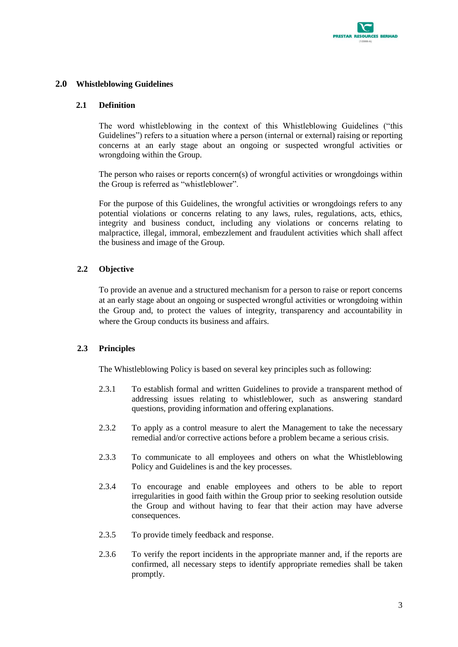

#### <span id="page-4-1"></span><span id="page-4-0"></span>**2.0 Whistleblowing Guidelines**

#### **2.1 Definition**

The word whistleblowing in the context of this Whistleblowing Guidelines ("this Guidelines") refers to a situation where a person (internal or external) raising or reporting concerns at an early stage about an ongoing or suspected wrongful activities or wrongdoing within the Group.

The person who raises or reports concern(s) of wrongful activities or wrongdoings within the Group is referred as "whistleblower".

For the purpose of this Guidelines, the wrongful activities or wrongdoings refers to any potential violations or concerns relating to any laws, rules, regulations, acts, ethics, integrity and business conduct, including any violations or concerns relating to malpractice, illegal, immoral, embezzlement and fraudulent activities which shall affect the business and image of the Group.

#### <span id="page-4-2"></span>**2.2 Objective**

To provide an avenue and a structured mechanism for a person to raise or report concerns at an early stage about an ongoing or suspected wrongful activities or wrongdoing within the Group and, to protect the values of integrity, transparency and accountability in where the Group conducts its business and affairs.

#### <span id="page-4-3"></span>**2.3 Principles**

The Whistleblowing Policy is based on several key principles such as following:

- 2.3.1 To establish formal and written Guidelines to provide a transparent method of addressing issues relating to whistleblower, such as answering standard questions, providing information and offering explanations.
- 2.3.2 To apply as a control measure to alert the Management to take the necessary remedial and/or corrective actions before a problem became a serious crisis.
- 2.3.3 To communicate to all employees and others on what the Whistleblowing Policy and Guidelines is and the key processes.
- 2.3.4 To encourage and enable employees and others to be able to report irregularities in good faith within the Group prior to seeking resolution outside the Group and without having to fear that their action may have adverse consequences.
- 2.3.5 To provide timely feedback and response.
- 2.3.6 To verify the report incidents in the appropriate manner and, if the reports are confirmed, all necessary steps to identify appropriate remedies shall be taken promptly.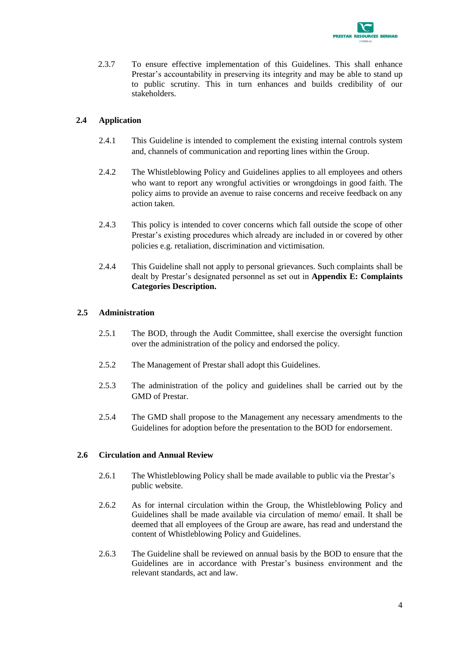

2.3.7 To ensure effective implementation of this Guidelines. This shall enhance Prestar's accountability in preserving its integrity and may be able to stand up to public scrutiny. This in turn enhances and builds credibility of our stakeholders.

#### <span id="page-5-0"></span>**2.4 Application**

- 2.4.1 This Guideline is intended to complement the existing internal controls system and, channels of communication and reporting lines within the Group.
- 2.4.2 The Whistleblowing Policy and Guidelines applies to all employees and others who want to report any wrongful activities or wrongdoings in good faith. The policy aims to provide an avenue to raise concerns and receive feedback on any action taken.
- 2.4.3 This policy is intended to cover concerns which fall outside the scope of other Prestar's existing procedures which already are included in or covered by other policies e.g. retaliation, discrimination and victimisation.
- 2.4.4 This Guideline shall not apply to personal grievances. Such complaints shall be dealt by Prestar's designated personnel as set out in **Appendix E: Complaints Categories Description.**

#### <span id="page-5-1"></span>**2.5 Administration**

- 2.5.1 The BOD, through the Audit Committee, shall exercise the oversight function over the administration of the policy and endorsed the policy.
- 2.5.2 The Management of Prestar shall adopt this Guidelines.
- 2.5.3 The administration of the policy and guidelines shall be carried out by the GMD of Prestar.
- 2.5.4 The GMD shall propose to the Management any necessary amendments to the Guidelines for adoption before the presentation to the BOD for endorsement.

#### <span id="page-5-2"></span>**2.6 Circulation and Annual Review**

- 2.6.1 The Whistleblowing Policy shall be made available to public via the Prestar's public website.
- 2.6.2 As for internal circulation within the Group, the Whistleblowing Policy and Guidelines shall be made available via circulation of memo/ email. It shall be deemed that all employees of the Group are aware, has read and understand the content of Whistleblowing Policy and Guidelines.
- 2.6.3 The Guideline shall be reviewed on annual basis by the BOD to ensure that the Guidelines are in accordance with Prestar's business environment and the relevant standards, act and law.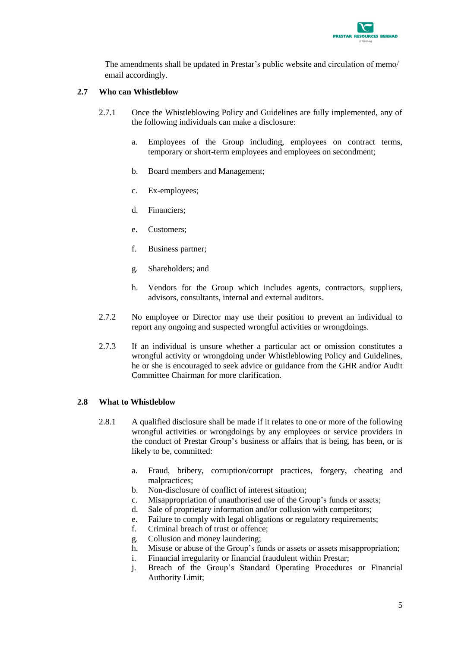

The amendments shall be updated in Prestar's public website and circulation of memo/ email accordingly.

#### <span id="page-6-0"></span>**2.7 Who can Whistleblow**

- 2.7.1 Once the Whistleblowing Policy and Guidelines are fully implemented, any of the following individuals can make a disclosure:
	- a. Employees of the Group including, employees on contract terms, temporary or short-term employees and employees on secondment;
	- b. Board members and Management;
	- c. Ex-employees;
	- d. Financiers;
	- e. Customers;
	- f. Business partner;
	- g. Shareholders; and
	- h. Vendors for the Group which includes agents, contractors, suppliers, advisors, consultants, internal and external auditors.
- 2.7.2 No employee or Director may use their position to prevent an individual to report any ongoing and suspected wrongful activities or wrongdoings.
- 2.7.3 If an individual is unsure whether a particular act or omission constitutes a wrongful activity or wrongdoing under Whistleblowing Policy and Guidelines, he or she is encouraged to seek advice or guidance from the GHR and/or Audit Committee Chairman for more clarification.

#### <span id="page-6-1"></span>**2.8 What to Whistleblow**

- 2.8.1 A qualified disclosure shall be made if it relates to one or more of the following wrongful activities or wrongdoings by any employees or service providers in the conduct of Prestar Group's business or affairs that is being, has been, or is likely to be, committed:
	- a. Fraud, bribery, corruption/corrupt practices, forgery, cheating and malpractices;
	- b. Non-disclosure of conflict of interest situation;
	- c. Misappropriation of unauthorised use of the Group's funds or assets;
	- d. Sale of proprietary information and/or collusion with competitors;
	- e. Failure to comply with legal obligations or regulatory requirements;
	- f. Criminal breach of trust or offence;
	- g. Collusion and money laundering;
	- h. Misuse or abuse of the Group's funds or assets or assets misappropriation;
	- i. Financial irregularity or financial fraudulent within Prestar;
	- j. Breach of the Group's Standard Operating Procedures or Financial Authority Limit;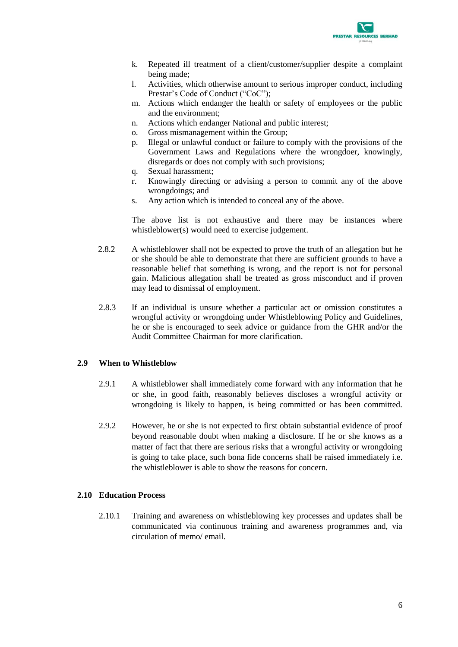

- k. Repeated ill treatment of a client/customer/supplier despite a complaint being made;
- l. Activities, which otherwise amount to serious improper conduct, including Prestar's Code of Conduct ("CoC");
- m. Actions which endanger the health or safety of employees or the public and the environment;
- n. Actions which endanger National and public interest;
- o. Gross mismanagement within the Group;
- p. Illegal or unlawful conduct or failure to comply with the provisions of the Government Laws and Regulations where the wrongdoer, knowingly, disregards or does not comply with such provisions;
- q. Sexual harassment;
- r. Knowingly directing or advising a person to commit any of the above wrongdoings; and
- s. Any action which is intended to conceal any of the above.

The above list is not exhaustive and there may be instances where whistleblower(s) would need to exercise judgement.

- 2.8.2 A whistleblower shall not be expected to prove the truth of an allegation but he or she should be able to demonstrate that there are sufficient grounds to have a reasonable belief that something is wrong, and the report is not for personal gain. Malicious allegation shall be treated as gross misconduct and if proven may lead to dismissal of employment.
- 2.8.3 If an individual is unsure whether a particular act or omission constitutes a wrongful activity or wrongdoing under Whistleblowing Policy and Guidelines, he or she is encouraged to seek advice or guidance from the GHR and/or the Audit Committee Chairman for more clarification.

#### <span id="page-7-0"></span>**2.9 When to Whistleblow**

- 2.9.1 A whistleblower shall immediately come forward with any information that he or she, in good faith, reasonably believes discloses a wrongful activity or wrongdoing is likely to happen, is being committed or has been committed.
- 2.9.2 However, he or she is not expected to first obtain substantial evidence of proof beyond reasonable doubt when making a disclosure. If he or she knows as a matter of fact that there are serious risks that a wrongful activity or wrongdoing is going to take place, such bona fide concerns shall be raised immediately i.e. the whistleblower is able to show the reasons for concern.

#### <span id="page-7-1"></span>**2.10 Education Process**

2.10.1 Training and awareness on whistleblowing key processes and updates shall be communicated via continuous training and awareness programmes and, via circulation of memo/ email.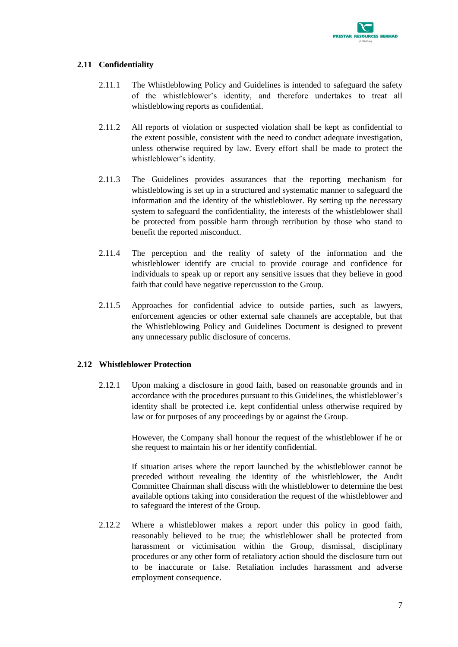

#### <span id="page-8-0"></span>**2.11 Confidentiality**

- 2.11.1 The Whistleblowing Policy and Guidelines is intended to safeguard the safety of the whistleblower's identity, and therefore undertakes to treat all whistleblowing reports as confidential.
- 2.11.2 All reports of violation or suspected violation shall be kept as confidential to the extent possible, consistent with the need to conduct adequate investigation, unless otherwise required by law. Every effort shall be made to protect the whistleblower's identity.
- 2.11.3 The Guidelines provides assurances that the reporting mechanism for whistleblowing is set up in a structured and systematic manner to safeguard the information and the identity of the whistleblower. By setting up the necessary system to safeguard the confidentiality, the interests of the whistleblower shall be protected from possible harm through retribution by those who stand to benefit the reported misconduct.
- 2.11.4 The perception and the reality of safety of the information and the whistleblower identify are crucial to provide courage and confidence for individuals to speak up or report any sensitive issues that they believe in good faith that could have negative repercussion to the Group.
- 2.11.5 Approaches for confidential advice to outside parties, such as lawyers, enforcement agencies or other external safe channels are acceptable, but that the Whistleblowing Policy and Guidelines Document is designed to prevent any unnecessary public disclosure of concerns.

#### <span id="page-8-1"></span>**2.12 Whistleblower Protection**

2.12.1 Upon making a disclosure in good faith, based on reasonable grounds and in accordance with the procedures pursuant to this Guidelines, the whistleblower's identity shall be protected i.e. kept confidential unless otherwise required by law or for purposes of any proceedings by or against the Group.

> However, the Company shall honour the request of the whistleblower if he or she request to maintain his or her identify confidential.

> If situation arises where the report launched by the whistleblower cannot be preceded without revealing the identity of the whistleblower, the Audit Committee Chairman shall discuss with the whistleblower to determine the best available options taking into consideration the request of the whistleblower and to safeguard the interest of the Group.

2.12.2 Where a whistleblower makes a report under this policy in good faith, reasonably believed to be true; the whistleblower shall be protected from harassment or victimisation within the Group, dismissal, disciplinary procedures or any other form of retaliatory action should the disclosure turn out to be inaccurate or false. Retaliation includes harassment and adverse employment consequence.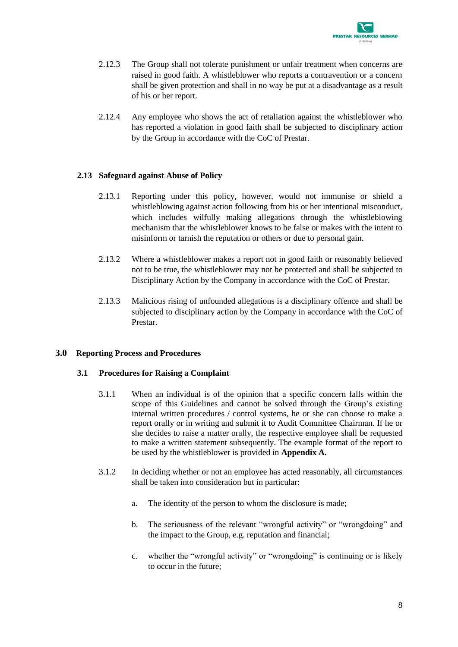

- 2.12.3 The Group shall not tolerate punishment or unfair treatment when concerns are raised in good faith. A whistleblower who reports a contravention or a concern shall be given protection and shall in no way be put at a disadvantage as a result of his or her report.
- 2.12.4 Any employee who shows the act of retaliation against the whistleblower who has reported a violation in good faith shall be subjected to disciplinary action by the Group in accordance with the CoC of Prestar.

#### <span id="page-9-0"></span>**2.13 Safeguard against Abuse of Policy**

- 2.13.1 Reporting under this policy, however, would not immunise or shield a whistleblowing against action following from his or her intentional misconduct, which includes wilfully making allegations through the whistleblowing mechanism that the whistleblower knows to be false or makes with the intent to misinform or tarnish the reputation or others or due to personal gain.
- 2.13.2 Where a whistleblower makes a report not in good faith or reasonably believed not to be true, the whistleblower may not be protected and shall be subjected to Disciplinary Action by the Company in accordance with the CoC of Prestar.
- 2.13.3 Malicious rising of unfounded allegations is a disciplinary offence and shall be subjected to disciplinary action by the Company in accordance with the CoC of Prestar.

#### <span id="page-9-2"></span><span id="page-9-1"></span>**3.0 Reporting Process and Procedures**

#### **3.1 Procedures for Raising a Complaint**

- 3.1.1 When an individual is of the opinion that a specific concern falls within the scope of this Guidelines and cannot be solved through the Group's existing internal written procedures / control systems, he or she can choose to make a report orally or in writing and submit it to Audit Committee Chairman. If he or she decides to raise a matter orally, the respective employee shall be requested to make a written statement subsequently. The example format of the report to be used by the whistleblower is provided in **Appendix A.**
- 3.1.2 In deciding whether or not an employee has acted reasonably, all circumstances shall be taken into consideration but in particular:
	- a. The identity of the person to whom the disclosure is made;
	- b. The seriousness of the relevant "wrongful activity" or "wrongdoing" and the impact to the Group, e.g. reputation and financial;
	- c. whether the "wrongful activity" or "wrongdoing" is continuing or is likely to occur in the future;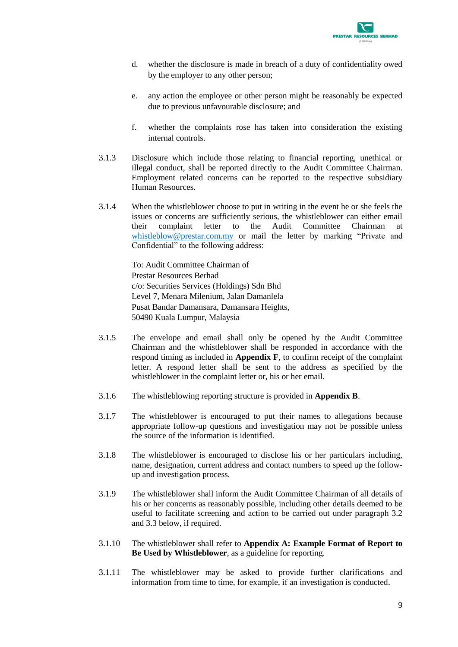

- d. whether the disclosure is made in breach of a duty of confidentiality owed by the employer to any other person;
- e. any action the employee or other person might be reasonably be expected due to previous unfavourable disclosure; and
- f. whether the complaints rose has taken into consideration the existing internal controls.
- 3.1.3 Disclosure which include those relating to financial reporting, unethical or illegal conduct, shall be reported directly to the Audit Committee Chairman. Employment related concerns can be reported to the respective subsidiary Human Resources.
- 3.1.4 When the whistleblower choose to put in writing in the event he or she feels the issues or concerns are sufficiently serious, the whistleblower can either email their complaint letter to the Audit Committee Chairman at [whistleblow@prestar.com.my](mailto:whistleblow@prestar.com.my) or mail the letter by marking "Private and Confidential" to the following address:

To: Audit Committee Chairman of Prestar Resources Berhad c/o: Securities Services (Holdings) Sdn Bhd Level 7, Menara Milenium, Jalan Damanlela Pusat Bandar Damansara, Damansara Heights, 50490 Kuala Lumpur, Malaysia

- 3.1.5 The envelope and email shall only be opened by the Audit Committee Chairman and the whistleblower shall be responded in accordance with the respond timing as included in **Appendix F**, to confirm receipt of the complaint letter. A respond letter shall be sent to the address as specified by the whistleblower in the complaint letter or, his or her email.
- 3.1.6 The whistleblowing reporting structure is provided in **Appendix B**.
- 3.1.7 The whistleblower is encouraged to put their names to allegations because appropriate follow-up questions and investigation may not be possible unless the source of the information is identified.
- 3.1.8 The whistleblower is encouraged to disclose his or her particulars including, name, designation, current address and contact numbers to speed up the followup and investigation process.
- 3.1.9 The whistleblower shall inform the Audit Committee Chairman of all details of his or her concerns as reasonably possible, including other details deemed to be useful to facilitate screening and action to be carried out under paragraph 3.2 and 3.3 below, if required.
- 3.1.10 The whistleblower shall refer to **Appendix A: Example Format of Report to Be Used by Whistleblower**, as a guideline for reporting.
- 3.1.11 The whistleblower may be asked to provide further clarifications and information from time to time, for example, if an investigation is conducted.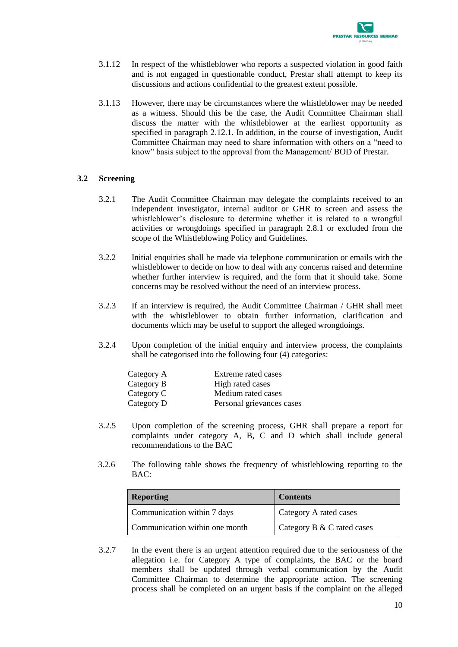

- 3.1.12 In respect of the whistleblower who reports a suspected violation in good faith and is not engaged in questionable conduct, Prestar shall attempt to keep its discussions and actions confidential to the greatest extent possible.
- 3.1.13 However, there may be circumstances where the whistleblower may be needed as a witness. Should this be the case, the Audit Committee Chairman shall discuss the matter with the whistleblower at the earliest opportunity as specified in paragraph 2.12.1. In addition, in the course of investigation, Audit Committee Chairman may need to share information with others on a "need to know" basis subject to the approval from the Management/ BOD of Prestar.

#### <span id="page-11-0"></span>**3.2 Screening**

- 3.2.1 The Audit Committee Chairman may delegate the complaints received to an independent investigator, internal auditor or GHR to screen and assess the whistleblower's disclosure to determine whether it is related to a wrongful activities or wrongdoings specified in paragraph 2.8.1 or excluded from the scope of the Whistleblowing Policy and Guidelines.
- 3.2.2 Initial enquiries shall be made via telephone communication or emails with the whistleblower to decide on how to deal with any concerns raised and determine whether further interview is required, and the form that it should take. Some concerns may be resolved without the need of an interview process.
- 3.2.3 If an interview is required, the Audit Committee Chairman / GHR shall meet with the whistleblower to obtain further information, clarification and documents which may be useful to support the alleged wrongdoings.
- 3.2.4 Upon completion of the initial enquiry and interview process, the complaints shall be categorised into the following four (4) categories:

| Category A | Extreme rated cases       |
|------------|---------------------------|
| Category B | High rated cases          |
| Category C | Medium rated cases        |
| Category D | Personal grievances cases |

- 3.2.5 Upon completion of the screening process, GHR shall prepare a report for complaints under category A, B, C and D which shall include general recommendations to the BAC
- 3.2.6 The following table shows the frequency of whistleblowing reporting to the BAC:

| <b>Reporting</b>               | <b>Contents</b>            |  |
|--------------------------------|----------------------------|--|
| Communication within 7 days    | Category A rated cases     |  |
| Communication within one month | Category B & C rated cases |  |

3.2.7 In the event there is an urgent attention required due to the seriousness of the allegation i.e. for Category A type of complaints, the BAC or the board members shall be updated through verbal communication by the Audit Committee Chairman to determine the appropriate action. The screening process shall be completed on an urgent basis if the complaint on the alleged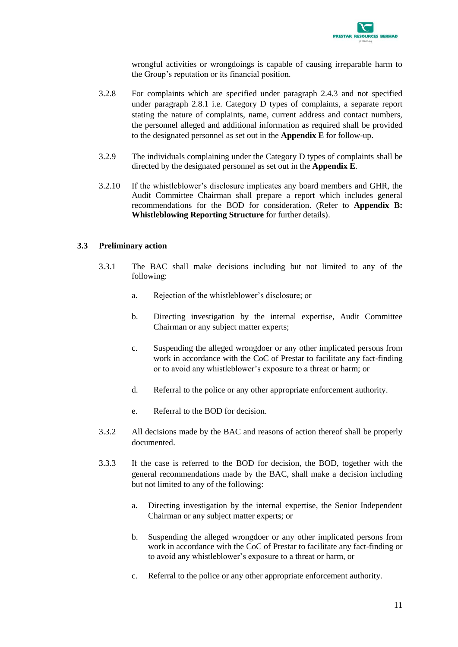

wrongful activities or wrongdoings is capable of causing irreparable harm to the Group's reputation or its financial position.

- 3.2.8 For complaints which are specified under paragraph 2.4.3 and not specified under paragraph 2.8.1 i.e. Category D types of complaints, a separate report stating the nature of complaints, name, current address and contact numbers, the personnel alleged and additional information as required shall be provided to the designated personnel as set out in the **Appendix E** for follow-up.
- 3.2.9 The individuals complaining under the Category D types of complaints shall be directed by the designated personnel as set out in the **Appendix E**.
- 3.2.10 If the whistleblower's disclosure implicates any board members and GHR, the Audit Committee Chairman shall prepare a report which includes general recommendations for the BOD for consideration. (Refer to **Appendix B: Whistleblowing Reporting Structure** for further details).

#### <span id="page-12-0"></span>**3.3 Preliminary action**

- 3.3.1 The BAC shall make decisions including but not limited to any of the following:
	- a. Rejection of the whistleblower's disclosure; or
	- b. Directing investigation by the internal expertise, Audit Committee Chairman or any subject matter experts;
	- c. Suspending the alleged wrongdoer or any other implicated persons from work in accordance with the CoC of Prestar to facilitate any fact-finding or to avoid any whistleblower's exposure to a threat or harm; or
	- d. Referral to the police or any other appropriate enforcement authority.
	- e. Referral to the BOD for decision.
- 3.3.2 All decisions made by the BAC and reasons of action thereof shall be properly documented.
- 3.3.3 If the case is referred to the BOD for decision, the BOD, together with the general recommendations made by the BAC, shall make a decision including but not limited to any of the following:
	- a. Directing investigation by the internal expertise, the Senior Independent Chairman or any subject matter experts; or
	- b. Suspending the alleged wrongdoer or any other implicated persons from work in accordance with the CoC of Prestar to facilitate any fact-finding or to avoid any whistleblower's exposure to a threat or harm, or
	- c. Referral to the police or any other appropriate enforcement authority.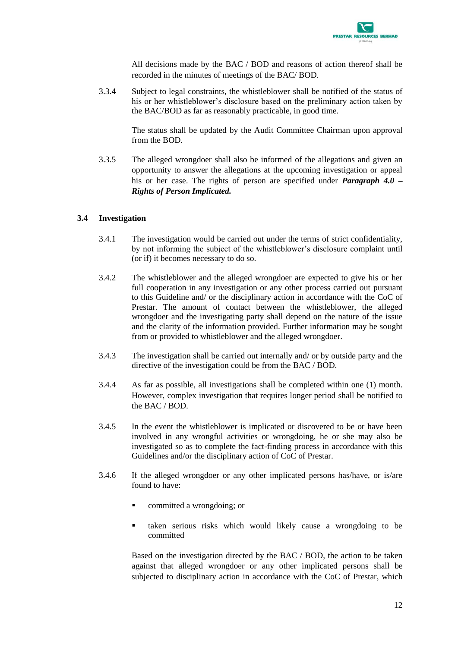

All decisions made by the BAC / BOD and reasons of action thereof shall be recorded in the minutes of meetings of the BAC/ BOD.

3.3.4 Subject to legal constraints, the whistleblower shall be notified of the status of his or her whistleblower's disclosure based on the preliminary action taken by the BAC/BOD as far as reasonably practicable, in good time.

> The status shall be updated by the Audit Committee Chairman upon approval from the BOD.

3.3.5 The alleged wrongdoer shall also be informed of the allegations and given an opportunity to answer the allegations at the upcoming investigation or appeal his or her case. The rights of person are specified under *Paragraph 4.0 – Rights of Person Implicated.*

#### <span id="page-13-0"></span>**3.4 Investigation**

- 3.4.1 The investigation would be carried out under the terms of strict confidentiality, by not informing the subject of the whistleblower's disclosure complaint until (or if) it becomes necessary to do so.
- 3.4.2 The whistleblower and the alleged wrongdoer are expected to give his or her full cooperation in any investigation or any other process carried out pursuant to this Guideline and/ or the disciplinary action in accordance with the CoC of Prestar. The amount of contact between the whistleblower, the alleged wrongdoer and the investigating party shall depend on the nature of the issue and the clarity of the information provided. Further information may be sought from or provided to whistleblower and the alleged wrongdoer.
- 3.4.3 The investigation shall be carried out internally and/ or by outside party and the directive of the investigation could be from the BAC / BOD.
- 3.4.4 As far as possible, all investigations shall be completed within one (1) month. However, complex investigation that requires longer period shall be notified to the BAC / BOD.
- 3.4.5 In the event the whistleblower is implicated or discovered to be or have been involved in any wrongful activities or wrongdoing, he or she may also be investigated so as to complete the fact-finding process in accordance with this Guidelines and/or the disciplinary action of CoC of Prestar.
- 3.4.6 If the alleged wrongdoer or any other implicated persons has/have, or is/are found to have:
	- committed a wrongdoing; or
	- taken serious risks which would likely cause a wrongdoing to be committed

Based on the investigation directed by the BAC / BOD, the action to be taken against that alleged wrongdoer or any other implicated persons shall be subjected to disciplinary action in accordance with the CoC of Prestar, which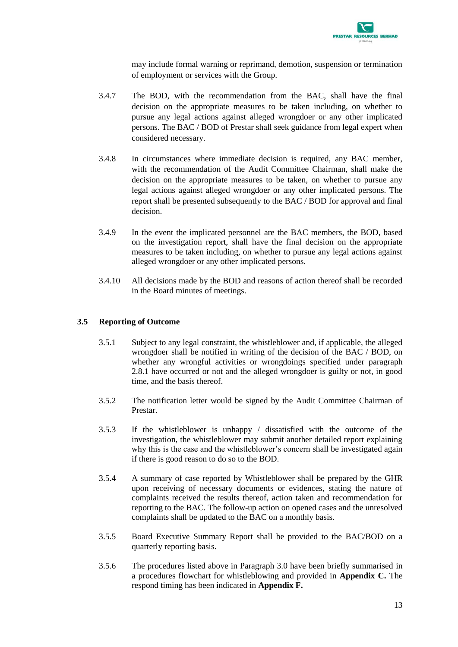

may include formal warning or reprimand, demotion, suspension or termination of employment or services with the Group.

- 3.4.7 The BOD, with the recommendation from the BAC, shall have the final decision on the appropriate measures to be taken including, on whether to pursue any legal actions against alleged wrongdoer or any other implicated persons. The BAC / BOD of Prestar shall seek guidance from legal expert when considered necessary.
- 3.4.8 In circumstances where immediate decision is required, any BAC member, with the recommendation of the Audit Committee Chairman, shall make the decision on the appropriate measures to be taken, on whether to pursue any legal actions against alleged wrongdoer or any other implicated persons. The report shall be presented subsequently to the BAC / BOD for approval and final decision.
- 3.4.9 In the event the implicated personnel are the BAC members, the BOD, based on the investigation report, shall have the final decision on the appropriate measures to be taken including, on whether to pursue any legal actions against alleged wrongdoer or any other implicated persons.
- 3.4.10 All decisions made by the BOD and reasons of action thereof shall be recorded in the Board minutes of meetings.

#### <span id="page-14-0"></span>**3.5 Reporting of Outcome**

- 3.5.1 Subject to any legal constraint, the whistleblower and, if applicable, the alleged wrongdoer shall be notified in writing of the decision of the BAC / BOD, on whether any wrongful activities or wrongdoings specified under paragraph 2.8.1 have occurred or not and the alleged wrongdoer is guilty or not, in good time, and the basis thereof.
- 3.5.2 The notification letter would be signed by the Audit Committee Chairman of Prestar.
- 3.5.3 If the whistleblower is unhappy / dissatisfied with the outcome of the investigation, the whistleblower may submit another detailed report explaining why this is the case and the whistleblower's concern shall be investigated again if there is good reason to do so to the BOD.
- 3.5.4 A summary of case reported by Whistleblower shall be prepared by the GHR upon receiving of necessary documents or evidences, stating the nature of complaints received the results thereof, action taken and recommendation for reporting to the BAC. The follow-up action on opened cases and the unresolved complaints shall be updated to the BAC on a monthly basis.
- 3.5.5 Board Executive Summary Report shall be provided to the BAC/BOD on a quarterly reporting basis.
- 3.5.6 The procedures listed above in Paragraph 3.0 have been briefly summarised in a procedures flowchart for whistleblowing and provided in **Appendix C.** The respond timing has been indicated in **Appendix F.**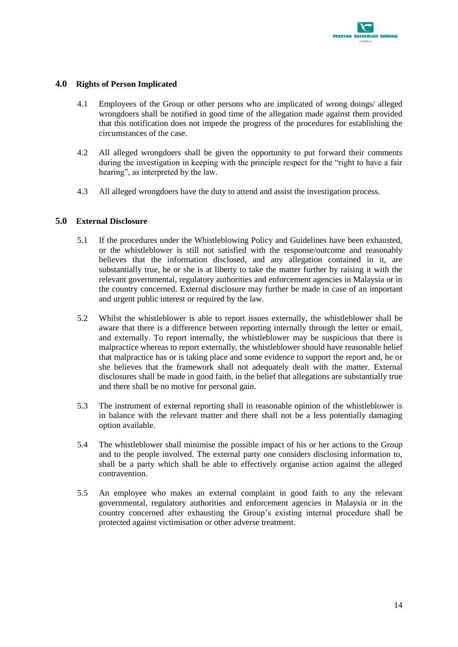

#### <span id="page-15-0"></span>**4.0 Rights of Person Implicated**

- 4.1 Employees of the Group or other persons who are implicated of wrong doings/ alleged wrongdoers shall be notified in good time of the allegation made against them provided that this notification does not impede the progress of the procedures for establishing the circumstances of the case.
- 4.2 All alleged wrongdoers shall be given the opportunity to put forward their comments during the investigation in keeping with the principle respect for the "right to have a fair hearing", as interpreted by the law.
- 4.3 All alleged wrongdoers have the duty to attend and assist the investigation process.

#### <span id="page-15-1"></span>**5.0 External Disclosure**

- 5.1 If the procedures under the Whistleblowing Policy and Guidelines have been exhausted, or the whistleblower is still not satisfied with the response/outcome and reasonably believes that the information disclosed, and any allegation contained in it, are substantially true, he or she is at liberty to take the matter further by raising it with the relevant governmental, regulatory authorities and enforcement agencies in Malaysia or in the country concerned. External disclosure may further be made in case of an important and urgent public interest or required by the law.
- 5.2 Whilst the whistleblower is able to report issues externally, the whistleblower shall be aware that there is a difference between reporting internally through the letter or email, and externally. To report internally, the whistleblower may be suspicious that there is malpractice whereas to report externally, the whistleblower should have reasonable belief that malpractice has or is taking place and some evidence to support the report and, he or she believes that the framework shall not adequately dealt with the matter. External disclosures shall be made in good faith, in the belief that allegations are substantially true and there shall be no motive for personal gain.
- 5.3 The instrument of external reporting shall in reasonable opinion of the whistleblower is in balance with the relevant matter and there shall not be a less potentially damaging option available.
- 5.4 The whistleblower shall minimise the possible impact of his or her actions to the Group and to the people involved. The external party one considers disclosing information to, shall be a party which shall be able to effectively organise action against the alleged contravention.
- 5.5 An employee who makes an external complaint in good faith to any the relevant governmental, regulatory authorities and enforcement agencies in Malaysia or in the country concerned after exhausting the Group's existing internal procedure shall be protected against victimisation or other adverse treatment.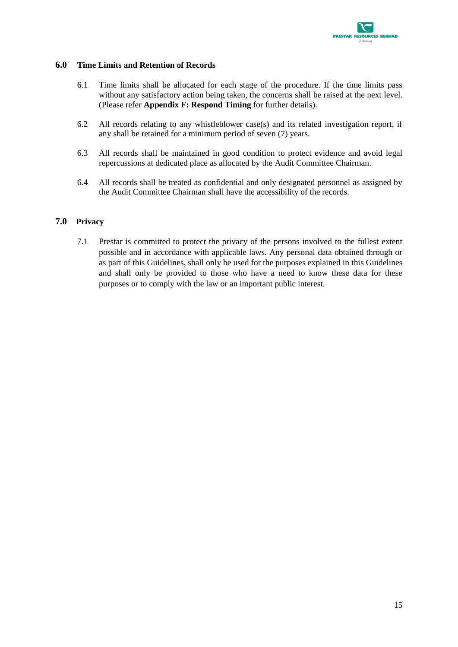

#### <span id="page-16-0"></span>**6.0 Time Limits and Retention of Records**

- 6.1 Time limits shall be allocated for each stage of the procedure. If the time limits pass without any satisfactory action being taken, the concerns shall be raised at the next level. (Please refer **Appendix F: Respond Timing** for further details).
- 6.2 All records relating to any whistleblower case(s) and its related investigation report, if any shall be retained for a minimum period of seven (7) years.
- 6.3 All records shall be maintained in good condition to protect evidence and avoid legal repercussions at dedicated place as allocated by the Audit Committee Chairman.
- 6.4 All records shall be treated as confidential and only designated personnel as assigned by the Audit Committee Chairman shall have the accessibility of the records.

#### <span id="page-16-1"></span>**7.0 Privacy**

7.1 Prestar is committed to protect the privacy of the persons involved to the fullest extent possible and in accordance with applicable laws. Any personal data obtained through or as part of this Guidelines, shall only be used for the purposes explained in this Guidelines and shall only be provided to those who have a need to know these data for these purposes or to comply with the law or an important public interest.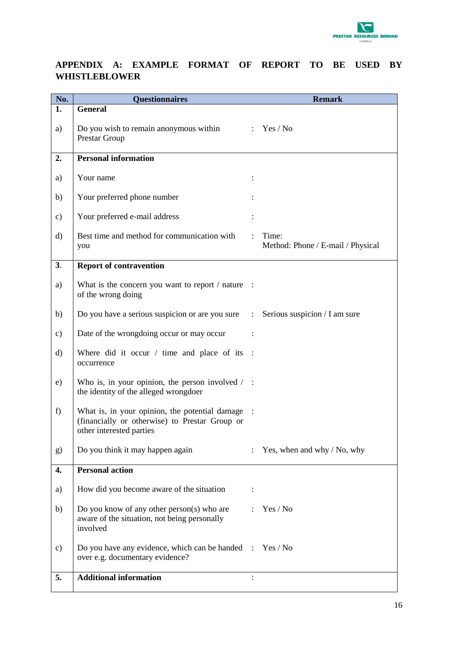

## <span id="page-17-0"></span>**APPENDIX A: EXAMPLE FORMAT OF REPORT TO BE USED BY WHISTLEBLOWER**

| No.      | <b>Questionnaires</b>                                                                                                        |                | <b>Remark</b>                              |
|----------|------------------------------------------------------------------------------------------------------------------------------|----------------|--------------------------------------------|
| 1.       | <b>General</b>                                                                                                               |                |                                            |
| a)       | Do you wish to remain anonymous within<br>Prestar Group                                                                      | $\mathcal{L}$  | Yes / No                                   |
| 2.       | <b>Personal information</b>                                                                                                  |                |                                            |
| a)       | Your name                                                                                                                    |                |                                            |
| b)       | Your preferred phone number                                                                                                  |                |                                            |
| c)       | Your preferred e-mail address                                                                                                |                |                                            |
| $\rm d)$ | Best time and method for communication with<br>you                                                                           |                | Time:<br>Method: Phone / E-mail / Physical |
| 3.       | <b>Report of contravention</b>                                                                                               |                |                                            |
| a)       | What is the concern you want to report / nature :<br>of the wrong doing                                                      |                |                                            |
| b)       | Do you have a serious suspicion or are you sure :                                                                            |                | Serious suspicion / I am sure              |
| c)       | Date of the wrongdoing occur or may occur                                                                                    |                |                                            |
| $\rm d$  | Where did it occur $/$ time and place of its :<br>occurrence                                                                 |                |                                            |
| e)       | Who is, in your opinion, the person involved $\ell$ :<br>the identity of the alleged wrongdoer                               |                |                                            |
| f)       | What is, in your opinion, the potential damage<br>(financially or otherwise) to Prestar Group or<br>other interested parties |                |                                            |
| g)       | Do you think it may happen again                                                                                             | $\ddot{\cdot}$ | Yes, when and why / No, why                |
| 4.       | <b>Personal action</b>                                                                                                       |                |                                            |
| a)       | How did you become aware of the situation                                                                                    |                |                                            |
| b)       | Do you know of any other person(s) who are<br>aware of the situation, not being personally<br>involved                       |                | Yes / No                                   |
| c)       | Do you have any evidence, which can be handed :<br>over e.g. documentary evidence?                                           |                | Yes / No                                   |
| 5.       | <b>Additional information</b>                                                                                                |                |                                            |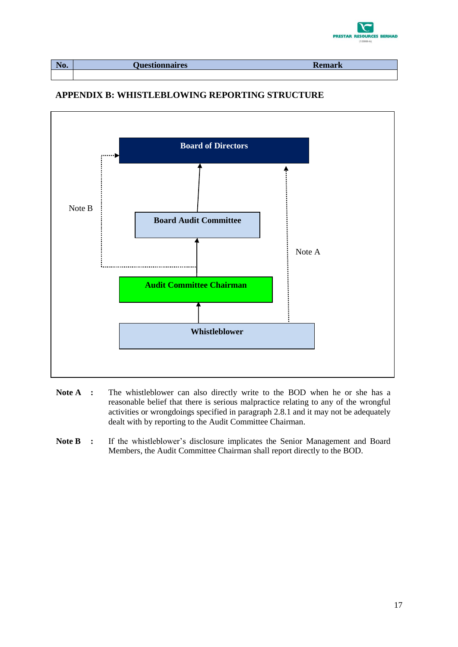

| $\blacksquare$<br>ĸ<br>T10. | ionnaires<br><b>D</b> iest | <b>INCHIMAL IN</b> |
|-----------------------------|----------------------------|--------------------|
|                             |                            |                    |

### <span id="page-18-0"></span>**APPENDIX B: WHISTLEBLOWING REPORTING STRUCTURE**



- **Note A :** The whistleblower can also directly write to the BOD when he or she has a reasonable belief that there is serious malpractice relating to any of the wrongful activities or wrongdoings specified in paragraph 2.8.1 and it may not be adequately dealt with by reporting to the Audit Committee Chairman.
- Note B **:** If the whistleblower's disclosure implicates the Senior Management and Board Members, the Audit Committee Chairman shall report directly to the BOD.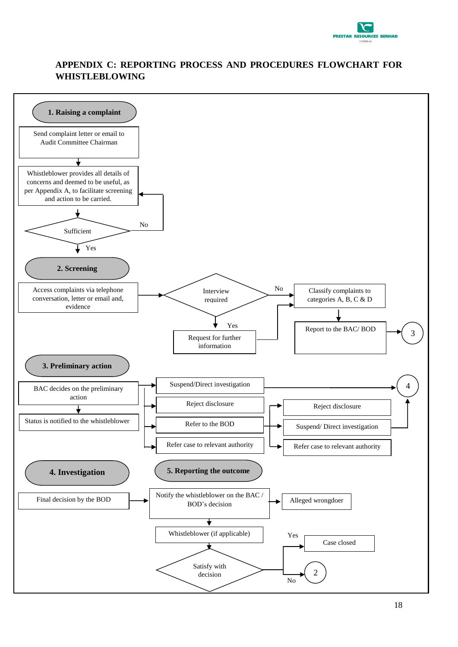

## <span id="page-19-0"></span>**APPENDIX C: REPORTING PROCESS AND PROCEDURES FLOWCHART FOR WHISTLEBLOWING**

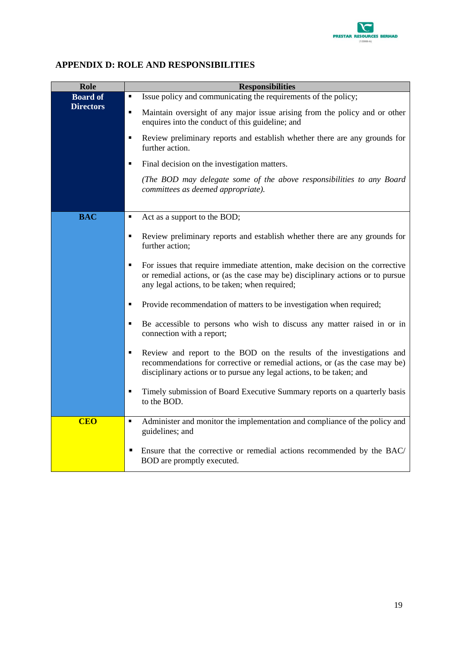

## <span id="page-20-0"></span>**APPENDIX D: ROLE AND RESPONSIBILITIES**

| Role             | <b>Responsibilities</b>                                                                                                                                                                                                                         |
|------------------|-------------------------------------------------------------------------------------------------------------------------------------------------------------------------------------------------------------------------------------------------|
| <b>Board of</b>  | Issue policy and communicating the requirements of the policy;<br>٠                                                                                                                                                                             |
| <b>Directors</b> | Maintain oversight of any major issue arising from the policy and or other<br>٠<br>enquires into the conduct of this guideline; and                                                                                                             |
|                  | Review preliminary reports and establish whether there are any grounds for<br>٠<br>further action.                                                                                                                                              |
|                  | Final decision on the investigation matters.<br>٠                                                                                                                                                                                               |
|                  | (The BOD may delegate some of the above responsibilities to any Board<br>committees as deemed appropriate).                                                                                                                                     |
|                  |                                                                                                                                                                                                                                                 |
| <b>BAC</b>       | $\blacksquare$<br>Act as a support to the BOD;                                                                                                                                                                                                  |
|                  | Review preliminary reports and establish whether there are any grounds for<br>$\blacksquare$<br>further action;                                                                                                                                 |
|                  | $\blacksquare$<br>For issues that require immediate attention, make decision on the corrective<br>or remedial actions, or (as the case may be) disciplinary actions or to pursue<br>any legal actions, to be taken; when required;              |
|                  | Provide recommendation of matters to be investigation when required;<br>$\blacksquare$                                                                                                                                                          |
|                  | Be accessible to persons who wish to discuss any matter raised in or in<br>٠<br>connection with a report;                                                                                                                                       |
|                  | Review and report to the BOD on the results of the investigations and<br>$\blacksquare$<br>recommendations for corrective or remedial actions, or (as the case may be)<br>disciplinary actions or to pursue any legal actions, to be taken; and |
|                  | Timely submission of Board Executive Summary reports on a quarterly basis<br>$\blacksquare$<br>to the BOD.                                                                                                                                      |
| <b>CEO</b>       | Administer and monitor the implementation and compliance of the policy and<br>$\blacksquare$<br>guidelines; and                                                                                                                                 |
|                  | Ensure that the corrective or remedial actions recommended by the BAC/<br>п<br>BOD are promptly executed.                                                                                                                                       |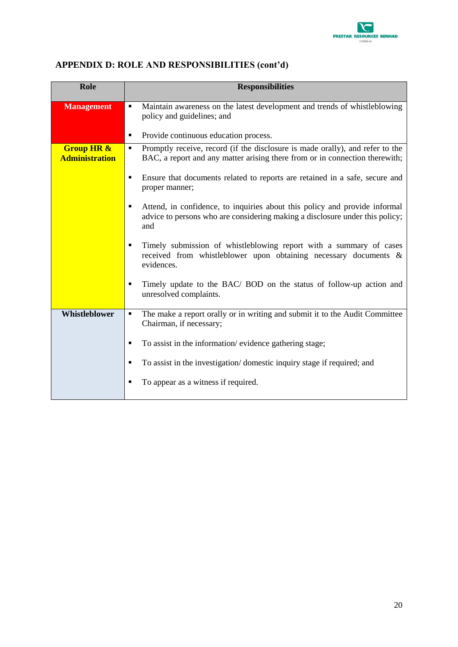

## **APPENDIX D: ROLE AND RESPONSIBILITIES (cont'd)**

| Role                                           | <b>Responsibilities</b>                                                                                                                                           |
|------------------------------------------------|-------------------------------------------------------------------------------------------------------------------------------------------------------------------|
| <b>Management</b>                              | Maintain awareness on the latest development and trends of whistleblowing<br>$\blacksquare$<br>policy and guidelines; and                                         |
|                                                | Provide continuous education process.<br>$\blacksquare$                                                                                                           |
| <b>Group HR &amp;</b><br><b>Administration</b> | Promptly receive, record (if the disclosure is made orally), and refer to the<br>٠<br>BAC, a report and any matter arising there from or in connection therewith; |
|                                                | Ensure that documents related to reports are retained in a safe, secure and<br>$\blacksquare$<br>proper manner;                                                   |
|                                                | Attend, in confidence, to inquiries about this policy and provide informal<br>advice to persons who are considering making a disclosure under this policy;<br>and |
|                                                | Timely submission of whistleblowing report with a summary of cases<br>п<br>received from whistleblower upon obtaining necessary documents &<br>evidences.         |
|                                                | Timely update to the BAC/ BOD on the status of follow-up action and<br>$\blacksquare$<br>unresolved complaints.                                                   |
| Whistleblower                                  | The make a report orally or in writing and submit it to the Audit Committee<br>٠<br>Chairman, if necessary;                                                       |
|                                                | To assist in the information/evidence gathering stage;<br>п                                                                                                       |
|                                                | To assist in the investigation/domestic inquiry stage if required; and<br>п                                                                                       |
|                                                | To appear as a witness if required.<br>п                                                                                                                          |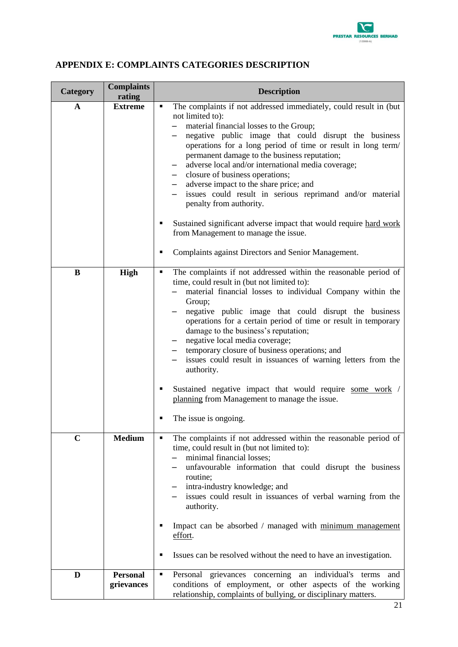

| <b>Category</b> | <b>Complaints</b><br>rating | <b>Description</b>                                                                                                                                                                                                                                                                                                                                                                                                                                                                                                                                                                                                                                                                                                                          |
|-----------------|-----------------------------|---------------------------------------------------------------------------------------------------------------------------------------------------------------------------------------------------------------------------------------------------------------------------------------------------------------------------------------------------------------------------------------------------------------------------------------------------------------------------------------------------------------------------------------------------------------------------------------------------------------------------------------------------------------------------------------------------------------------------------------------|
| A               | <b>Extreme</b>              | The complaints if not addressed immediately, could result in (but<br>٠<br>not limited to):<br>material financial losses to the Group;<br>negative public image that could disrupt the business<br>operations for a long period of time or result in long term/<br>permanent damage to the business reputation;<br>adverse local and/or international media coverage;<br>$-$<br>closure of business operations;<br>$-$<br>adverse impact to the share price; and<br>$-$<br>issues could result in serious reprimand and/or material<br>penalty from authority.<br>Sustained significant adverse impact that would require hard work<br>п<br>from Management to manage the issue.<br>Complaints against Directors and Senior Management.<br>Е |
| B               | High                        | The complaints if not addressed within the reasonable period of<br>٠<br>time, could result in (but not limited to):<br>material financial losses to individual Company within the<br>Group;<br>negative public image that could disrupt the business<br>operations for a certain period of time or result in temporary<br>damage to the business's reputation;<br>negative local media coverage;<br>$\overline{\phantom{0}}$<br>temporary closure of business operations; and<br>$-$<br>issues could result in issuances of warning letters from the<br>authority.<br>Sustained negative impact that would require some work /<br>٠<br>planning from Management to manage the issue.<br>The issue is ongoing.                               |
| $\mathbf C$     | <b>Medium</b>               | The complaints if not addressed within the reasonable period of<br>٠<br>time, could result in (but not limited to):<br>minimal financial losses;<br>unfavourable information that could disrupt the business<br>routine;<br>intra-industry knowledge; and<br>issues could result in issuances of verbal warning from the<br>authority.<br>Impact can be absorbed / managed with minimum management<br>$\blacksquare$<br>effort.<br>Issues can be resolved without the need to have an investigation.<br>п                                                                                                                                                                                                                                   |
| D               | <b>Personal</b>             | individual's<br>Personal<br>grievances<br>٠<br>concerning<br>and<br>an<br>terms                                                                                                                                                                                                                                                                                                                                                                                                                                                                                                                                                                                                                                                             |

conditions of employment, or other aspects of the working relationship, complaints of bullying, or disciplinary matters.

**grievances**

## <span id="page-22-0"></span>**APPENDIX E: COMPLAINTS CATEGORIES DESCRIPTION**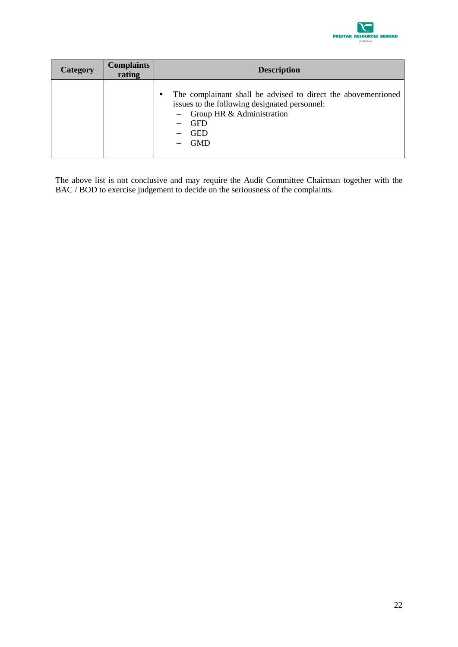

| <b>Category</b> | <b>Complaints</b><br>rating | <b>Description</b>                                                                                                                                                                             |
|-----------------|-----------------------------|------------------------------------------------------------------------------------------------------------------------------------------------------------------------------------------------|
|                 |                             | The complainant shall be advised to direct the abovementioned<br>п<br>issues to the following designated personnel:<br>$-$ Group HR & Administration<br><b>GFD</b><br><b>GED</b><br><b>GMD</b> |

The above list is not conclusive and may require the Audit Committee Chairman together with the BAC / BOD to exercise judgement to decide on the seriousness of the complaints.